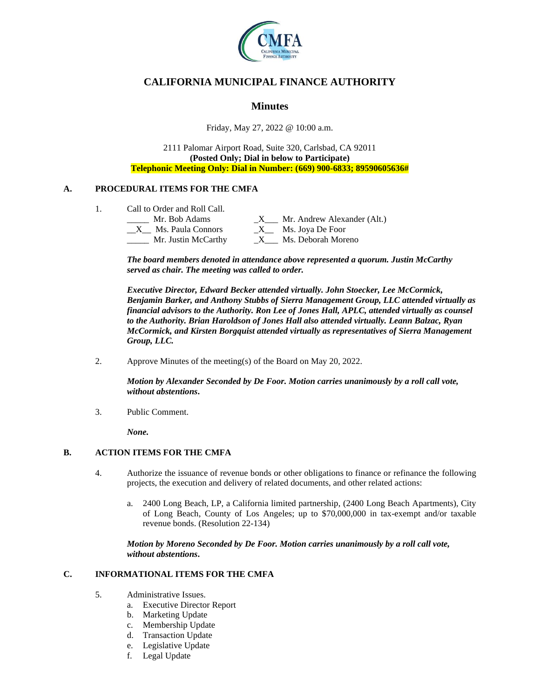

# **CALIFORNIA MUNICIPAL FINANCE AUTHORITY**

## **Minutes**

Friday, May 27, 2022 @ 10:00 a.m.

2111 Palomar Airport Road, Suite 320, Carlsbad, CA 92011 **(Posted Only; Dial in below to Participate) Telephonic Meeting Only: Dial in Number: (669) 900-6833; 89590605636#**

### **A. PROCEDURAL ITEMS FOR THE CMFA**

1. Call to Order and Roll Call.

| Mr. Bob Adams       | Mr. Andrew Alexander (Alt.) |
|---------------------|-----------------------------|
| Ms. Paula Connors   | Ms. Joya De Foor            |
| Mr. Justin McCarthy | Ms. Deborah Moreno          |

*The board members denoted in attendance above represented a quorum. Justin McCarthy served as chair. The meeting was called to order.*

*Executive Director, Edward Becker attended virtually. John Stoecker, Lee McCormick, Benjamin Barker, and Anthony Stubbs of Sierra Management Group, LLC attended virtually as financial advisors to the Authority. Ron Lee of Jones Hall, APLC, attended virtually as counsel to the Authority. Brian Haroldson of Jones Hall also attended virtually. Leann Balzac, Ryan McCormick, and Kirsten Borgquist attended virtually as representatives of Sierra Management Group, LLC.*

2. Approve Minutes of the meeting(s) of the Board on May 20, 2022.

*Motion by Alexander Seconded by De Foor. Motion carries unanimously by a roll call vote, without abstentions***.**

3. Public Comment.

*None.*

#### **B. ACTION ITEMS FOR THE CMFA**

- 4. Authorize the issuance of revenue bonds or other obligations to finance or refinance the following projects, the execution and delivery of related documents, and other related actions:
	- a. 2400 Long Beach, LP, a California limited partnership, (2400 Long Beach Apartments), City of Long Beach, County of Los Angeles; up to \$70,000,000 in tax-exempt and/or taxable revenue bonds. (Resolution 22-134)

*Motion by Moreno Seconded by De Foor. Motion carries unanimously by a roll call vote, without abstentions***.**

### **C. INFORMATIONAL ITEMS FOR THE CMFA**

- 5. Administrative Issues.
	- a. Executive Director Report
	- b. Marketing Update
	- c. Membership Update
	- d. Transaction Update
	- e. Legislative Update
	- f. Legal Update